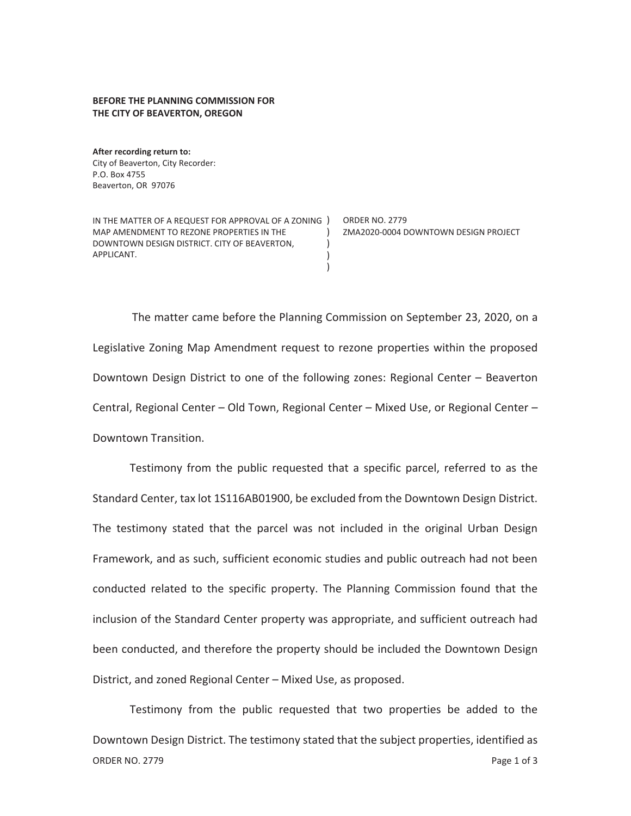## **BEFORE THE PLANNING COMMISSION FOR THE CITY OF BEAVERTON, OREGON**

**After recording return to:**  City of Beaverton, City Recorder: P.O. Box 4755 Beaverton, OR 97076

IN THE MATTER OF A REQUEST FOR APPROVAL OF A ZONING ) ORDER NO. 2779 MAP AMENDMENT TO REZONE PROPERTIES IN THE DOWNTOWN DESIGN DISTRICT. CITY OF BEAVERTON, APPLICANT.  $\rightarrow$ ) ) ) ZMA2020-0004 DOWNTOWN DESIGN PROJECT

The matter came before the Planning Commission on September 23, 2020, on a Legislative Zoning Map Amendment request to rezone properties within the proposed Downtown Design District to one of the following zones: Regional Center – Beaverton Central, Regional Center – Old Town, Regional Center – Mixed Use, or Regional Center – Downtown Transition.

Testimony from the public requested that a specific parcel, referred to as the Standard Center, tax lot 1S116AB01900, be excluded from the Downtown Design District. The testimony stated that the parcel was not included in the original Urban Design Framework, and as such, sufficient economic studies and public outreach had not been conducted related to the specific property. The Planning Commission found that the inclusion of the Standard Center property was appropriate, and sufficient outreach had been conducted, and therefore the property should be included the Downtown Design District, and zoned Regional Center – Mixed Use, as proposed.

ORDER NO. 2779 **Page 1 of 3** Testimony from the public requested that two properties be added to the Downtown Design District. The testimony stated that the subject properties, identified as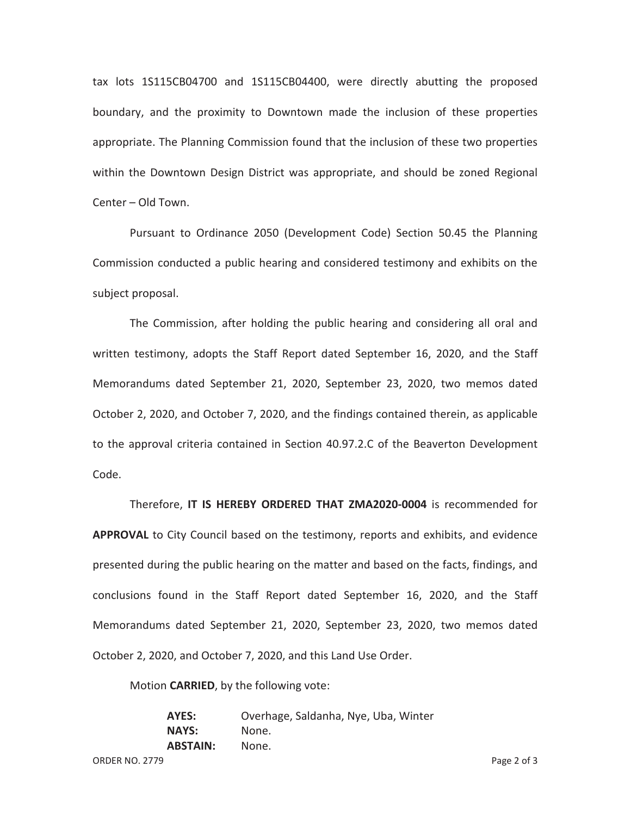tax lots 1S115CB04700 and 1S115CB04400, were directly abutting the proposed boundary, and the proximity to Downtown made the inclusion of these properties appropriate. The Planning Commission found that the inclusion of these two properties within the Downtown Design District was appropriate, and should be zoned Regional Center – Old Town.

Pursuant to Ordinance 2050 (Development Code) Section 50.45 the Planning Commission conducted a public hearing and considered testimony and exhibits on the subject proposal.

The Commission, after holding the public hearing and considering all oral and written testimony, adopts the Staff Report dated September 16, 2020, and the Staff Memorandums dated September 21, 2020, September 23, 2020, two memos dated October 2, 2020, and October 7, 2020, and the findings contained therein, as applicable to the approval criteria contained in Section 40.97.2.C of the Beaverton Development Code.

Therefore, **IT IS HEREBY ORDERED THAT ZMA2020-0004** is recommended for **APPROVAL** to City Council based on the testimony, reports and exhibits, and evidence presented during the public hearing on the matter and based on the facts, findings, and conclusions found in the Staff Report dated September 16, 2020, and the Staff Memorandums dated September 21, 2020, September 23, 2020, two memos dated October 2, 2020, and October 7, 2020, and this Land Use Order.

Motion **CARRIED**, by the following vote:

**AYES:** Overhage, Saldanha, Nye, Uba, Winter **NAYS:** None. **ABSTAIN:** None.